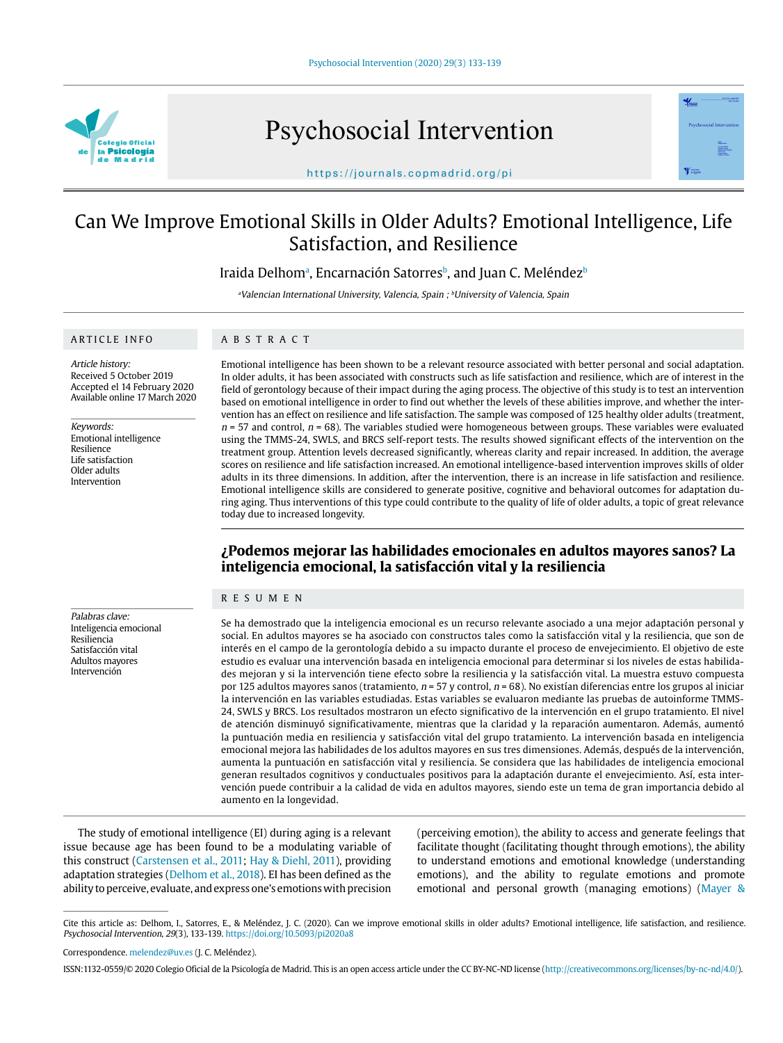

Psychosocial Intervention



https://journals.copmadrid.org/pi

# Can We Improve Emotional Skills in Older Adults? Emotional Intelligence, Life Satisfaction, and Resilience

Iraida Delhomª, Encarnación Satorres♭, and Juan C. Meléndez♭

<sup>a</sup>Valencian International University, Valencia, Spain ; <sup>b</sup>University of Valencia, Spain

#### ARTICLE INFO

ABSTRACT

Article history: Received 5 October 2019 Accepted el 14 February 2020 Available online 17 March 2020

Keywords: Emotional intelligence Resilience Life satisfaction Older adults Intervention

Palabras clave: Inteligencia emocional Resiliencia Satisfacción vital Adultos mayores Intervención

Emotional intelligence has been shown to be a relevant resource associated with better personal and social adaptation. In older adults, it has been associated with constructs such as life satisfaction and resilience, which are of interest in the field of gerontology because of their impact during the aging process. The objective of this study is to test an intervention based on emotional intelligence in order to find out whether the levels of these abilities improve, and whether the intervention has an effect on resilience and life satisfaction. The sample was composed of 125 healthy older adults (treatment,  $n = 57$  and control,  $n = 68$ ). The variables studied were homogeneous between groups. These variables were evaluated using the TMMS-24, SWLS, and BRCS self-report tests. The results showed significant effects of the intervention on the treatment group. Attention levels decreased significantly, whereas clarity and repair increased. In addition, the average scores on resilience and life satisfaction increased. An emotional intelligence-based intervention improves skills of older adults in its three dimensions. In addition, after the intervention, there is an increase in life satisfaction and resilience. Emotional intelligence skills are considered to generate positive, cognitive and behavioral outcomes for adaptation during aging. Thus interventions of this type could contribute to the quality of life of older adults, a topic of great relevance today due to increased longevity.

## **¿Podemos mejorar las habilidades emocionales en adultos mayores sanos? La inteligencia emocional, la satisfacción vital y la resiliencia**

### RESUMEN

Se ha demostrado que la inteligencia emocional es un recurso relevante asociado a una mejor adaptación personal y social. En adultos mayores se ha asociado con constructos tales como la satisfacción vital y la resiliencia, que son de interés en el campo de la gerontología debido a su impacto durante el proceso de envejecimiento. El objetivo de este estudio es evaluar una intervención basada en inteligencia emocional para determinar si los niveles de estas habilidades mejoran y si la intervención tiene efecto sobre la resiliencia y la satisfacción vital. La muestra estuvo compuesta por 125 adultos mayores sanos (tratamiento,  $n = 57$  y control,  $n = 68$ ). No existían diferencias entre los grupos al iniciar la intervención en las variables estudiadas. Estas variables se evaluaron mediante las pruebas de autoinforme TMMS-24, SWLS y BRCS. Los resultados mostraron un efecto significativo de la intervención en el grupo tratamiento. El nivel de atención disminuyó significativamente, mientras que la claridad y la reparación aumentaron. Además, aumentó la puntuación media en resiliencia y satisfacción vital del grupo tratamiento. La intervención basada en inteligencia emocional mejora las habilidades de los adultos mayores en sus tres dimensiones. Además, después de la intervención, aumenta la puntuación en satisfacción vital y resiliencia. Se considera que las habilidades de inteligencia emocional generan resultados cognitivos y conductuales positivos para la adaptación durante el envejecimiento. Así, esta intervención puede contribuir a la calidad de vida en adultos mayores, siendo este un tema de gran importancia debido al aumento en la longevidad.

The study of emotional intelligence (EI) during aging is a relevant issue because age has been found to be a modulating variable of this construct (Carstensen et al., 2011; Hay & Diehl, 2011), providing adaptation strategies (Delhom et al., 2018). EI has been defined as the ability to perceive, evaluate, and express one's emotions with precision

(perceiving emotion), the ability to access and generate feelings that facilitate thought (facilitating thought through emotions), the ability to understand emotions and emotional knowledge (understanding emotions), and the ability to regulate emotions and promote emotional and personal growth (managing emotions) (Mayer &

Cite this article as: Delhom, I., Satorres, E., & Meléndez, J. C. (2020). Can we improve emotional skills in older adults? Emotional intelligence, life satisfaction, and resilience. Psychosocial Intervention, 29(3), 133-139. https://doi.org/10.5093/pi2020a8

Correspondence. melendez@uv.es (J. C. Meléndez).

ISSN:1132-0559/© 2020 Colegio Oficial de la Psicología de Madrid. This is an open access article under the CC BY-NC-ND license (http://creativecommons.org/licenses/by-nc-nd/4.0/).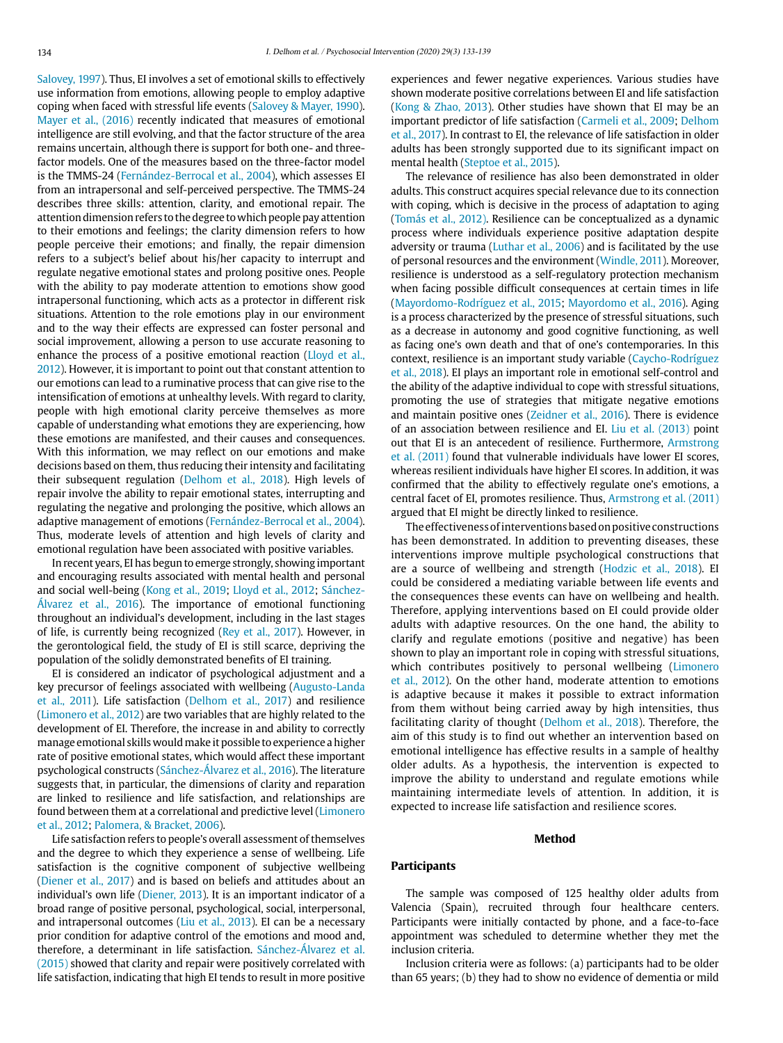Salovey, 1997). Thus, EI involves a set of emotional skills to effectively use information from emotions, allowing people to employ adaptive coping when faced with stressful life events (Salovey & Mayer, 1990). Mayer et al., (2016) recently indicated that measures of emotional intelligence are still evolving, and that the factor structure of the area remains uncertain, although there is support for both one- and threefactor models. One of the measures based on the three-factor model is the TMMS-24 (Fernández-Berrocal et al., 2004), which assesses EI from an intrapersonal and self-perceived perspective. The TMMS-24 describes three skills: attention, clarity, and emotional repair. The attention dimension refers to the degree to which people pay attention to their emotions and feelings; the clarity dimension refers to how people perceive their emotions; and finally, the repair dimension refers to a subject's belief about his/her capacity to interrupt and regulate negative emotional states and prolong positive ones. People with the ability to pay moderate attention to emotions show good intrapersonal functioning, which acts as a protector in different risk situations. Attention to the role emotions play in our environment and to the way their effects are expressed can foster personal and social improvement, allowing a person to use accurate reasoning to enhance the process of a positive emotional reaction (Lloyd et al., 2012). However, it is important to point out that constant attention to our emotions can lead to a ruminative process that can give rise to the intensification of emotions at unhealthy levels. With regard to clarity, people with high emotional clarity perceive themselves as more capable of understanding what emotions they are experiencing, how these emotions are manifested, and their causes and consequences. With this information, we may reflect on our emotions and make decisions based on them, thus reducing their intensity and facilitating their subsequent regulation (Delhom et al., 2018). High levels of repair involve the ability to repair emotional states, interrupting and regulating the negative and prolonging the positive, which allows an adaptive management of emotions (Fernández-Berrocal et al., 2004). Thus, moderate levels of attention and high levels of clarity and emotional regulation have been associated with positive variables.

In recent years, EI has begun to emerge strongly, showing important and encouraging results associated with mental health and personal and social well-being (Kong et al., 2019; Lloyd et al., 2012; Sánchez-Álvarez et al., 2016). The importance of emotional functioning throughout an individual's development, including in the last stages of life, is currently being recognized (Rey et al., 2017). However, in the gerontological field, the study of EI is still scarce, depriving the population of the solidly demonstrated benefits of EI training.

EI is considered an indicator of psychological adjustment and a key precursor of feelings associated with wellbeing (Augusto-Landa et al., 2011). Life satisfaction (Delhom et al., 2017) and resilience (Limonero et al., 2012) are two variables that are highly related to the development of EI. Therefore, the increase in and ability to correctly manage emotional skills would make it possible to experience a higher rate of positive emotional states, which would affect these important psychological constructs (Sánchez-Álvarez et al., 2016). The literature suggests that, in particular, the dimensions of clarity and reparation are linked to resilience and life satisfaction, and relationships are found between them at a correlational and predictive level (Limonero et al., 2012; Palomera, & Bracket, 2006).

Life satisfaction refers to people's overall assessment of themselves and the degree to which they experience a sense of wellbeing. Life satisfaction is the cognitive component of subjective wellbeing (Diener et al., 2017) and is based on beliefs and attitudes about an individual's own life (Diener, 2013). It is an important indicator of a broad range of positive personal, psychological, social, interpersonal, and intrapersonal outcomes (Liu et al., 2013). EI can be a necessary prior condition for adaptive control of the emotions and mood and, therefore, a determinant in life satisfaction. Sánchez-Álvarez et al. (2015) showed that clarity and repair were positively correlated with life satisfaction, indicating that high EI tends to result in more positive experiences and fewer negative experiences. Various studies have shown moderate positive correlations between EI and life satisfaction (Kong & Zhao, 2013). Other studies have shown that EI may be an important predictor of life satisfaction (Carmeli et al., 2009; Delhom et al., 2017). In contrast to EI, the relevance of life satisfaction in older adults has been strongly supported due to its significant impact on mental health (Steptoe et al., 2015).

The relevance of resilience has also been demonstrated in older adults. This construct acquires special relevance due to its connection with coping, which is decisive in the process of adaptation to aging (Tomás et al., 2012). Resilience can be conceptualized as a dynamic process where individuals experience positive adaptation despite adversity or trauma (Luthar et al., 2006) and is facilitated by the use of personal resources and the environment (Windle, 2011). Moreover, resilience is understood as a self-regulatory protection mechanism when facing possible difficult consequences at certain times in life (Mayordomo-Rodríguez et al., 2015; Mayordomo et al., 2016). Aging is a process characterized by the presence of stressful situations, such as a decrease in autonomy and good cognitive functioning, as well as facing one's own death and that of one's contemporaries. In this context, resilience is an important study variable (Caycho-Rodríguez et al., 2018). EI plays an important role in emotional self-control and the ability of the adaptive individual to cope with stressful situations, promoting the use of strategies that mitigate negative emotions and maintain positive ones (Zeidner et al., 2016). There is evidence of an association between resilience and EI. Liu et al. (2013) point out that EI is an antecedent of resilience. Furthermore, Armstrong et al. (2011) found that vulnerable individuals have lower EI scores, whereas resilient individuals have higher EI scores. In addition, it was confirmed that the ability to effectively regulate one's emotions, a central facet of EI, promotes resilience. Thus, Armstrong et al. (2011) argued that EI might be directly linked to resilience.

The effectiveness of interventions based on positive constructions has been demonstrated. In addition to preventing diseases, these interventions improve multiple psychological constructions that are a source of wellbeing and strength (Hodzic et al., 2018). EI could be considered a mediating variable between life events and the consequences these events can have on wellbeing and health. Therefore, applying interventions based on EI could provide older adults with adaptive resources. On the one hand, the ability to clarify and regulate emotions (positive and negative) has been shown to play an important role in coping with stressful situations, which contributes positively to personal wellbeing (Limonero et al., 2012). On the other hand, moderate attention to emotions is adaptive because it makes it possible to extract information from them without being carried away by high intensities, thus facilitating clarity of thought (Delhom et al., 2018). Therefore, the aim of this study is to find out whether an intervention based on emotional intelligence has effective results in a sample of healthy older adults. As a hypothesis, the intervention is expected to improve the ability to understand and regulate emotions while maintaining intermediate levels of attention. In addition, it is expected to increase life satisfaction and resilience scores.

#### **Method**

### **Participants**

The sample was composed of 125 healthy older adults from Valencia (Spain), recruited through four healthcare centers. Participants were initially contacted by phone, and a face-to-face appointment was scheduled to determine whether they met the inclusion criteria.

Inclusion criteria were as follows: (a) participants had to be older than 65 years; (b) they had to show no evidence of dementia or mild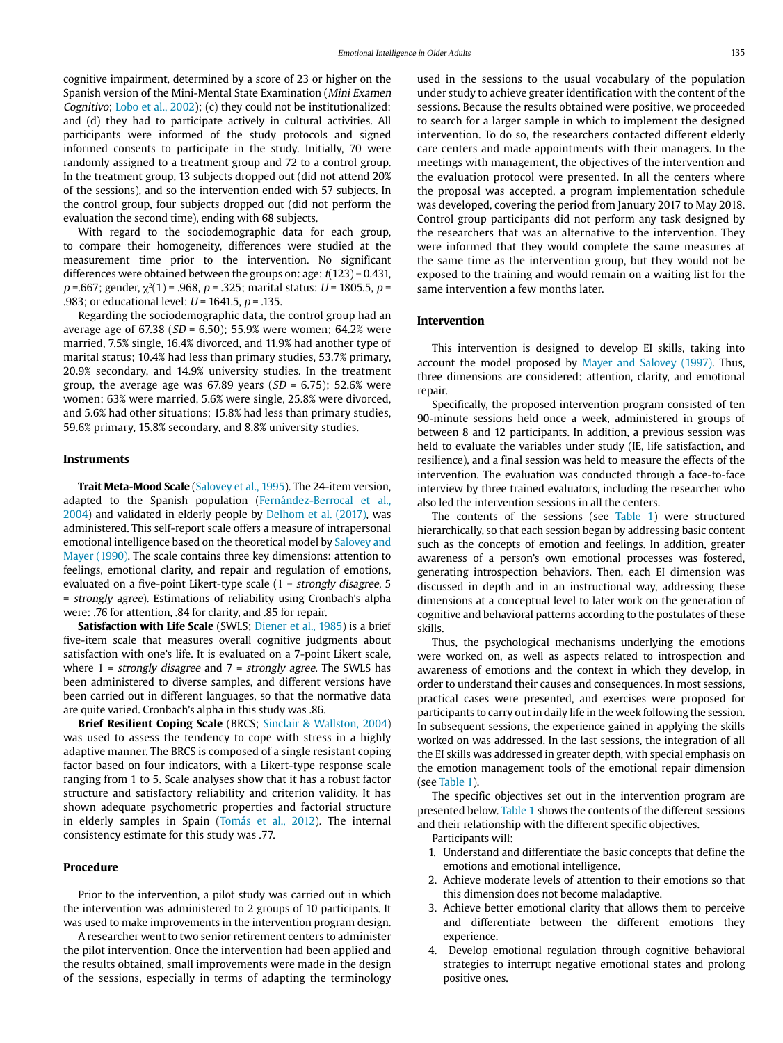cognitive impairment, determined by a score of 23 or higher on the Spanish version of the Mini-Mental State Examination (Mini Examen Cognitivo; Lobo et al., 2002); (c) they could not be institutionalized; and (d) they had to participate actively in cultural activities. All participants were informed of the study protocols and signed informed consents to participate in the study. Initially, 70 were randomly assigned to a treatment group and 72 to a control group. In the treatment group, 13 subjects dropped out (did not attend 20% of the sessions), and so the intervention ended with 57 subjects. In the control group, four subjects dropped out (did not perform the evaluation the second time), ending with 68 subjects.

With regard to the sociodemographic data for each group, to compare their homogeneity, differences were studied at the measurement time prior to the intervention. No significant differences were obtained between the groups on: age:  $t(123) = 0.431$ ,  $p = .667$ ; gender,  $\chi^2(1) = .968$ ,  $p = .325$ ; marital status:  $U = 1805.5$ ,  $p =$ .983; or educational level:  $U = 1641.5$ ,  $p = .135$ .

Regarding the sociodemographic data, the control group had an average age of 67.38 ( $SD = 6.50$ ); 55.9% were women; 64.2% were married, 7.5% single, 16.4% divorced, and 11.9% had another type of marital status; 10.4% had less than primary studies, 53.7% primary, 20.9% secondary, and 14.9% university studies. In the treatment group, the average age was 67.89 years ( $SD = 6.75$ ); 52.6% were women; 63% were married, 5.6% were single, 25.8% were divorced, and 5.6% had other situations; 15.8% had less than primary studies, 59.6% primary, 15.8% secondary, and 8.8% university studies.

### **Instruments**

**Trait Meta-Mood Scale** (Salovey et al., 1995). The 24-item version, adapted to the Spanish population (Fernández-Berrocal et al., 2004) and validated in elderly people by Delhom et al. (2017), was administered. This self-report scale offers a measure of intrapersonal emotional intelligence based on the theoretical model by Salovey and Mayer (1990). The scale contains three key dimensions: attention to feelings, emotional clarity, and repair and regulation of emotions, evaluated on a five-point Likert-type scale (1 = strongly disagree, 5 = strongly agree). Estimations of reliability using Cronbach's alpha were: .76 for attention, .84 for clarity, and .85 for repair.

**Satisfaction with Life Scale** (SWLS; Diener et al., 1985) is a brief five-item scale that measures overall cognitive judgments about satisfaction with one's life. It is evaluated on a 7-point Likert scale, where  $1$  = strongly disagree and  $7$  = strongly agree. The SWLS has been administered to diverse samples, and different versions have been carried out in different languages, so that the normative data are quite varied. Cronbach's alpha in this study was .86.

**Brief Resilient Coping Scale** (BRCS; Sinclair & Wallston, 2004) was used to assess the tendency to cope with stress in a highly adaptive manner. The BRCS is composed of a single resistant coping factor based on four indicators, with a Likert-type response scale ranging from 1 to 5. Scale analyses show that it has a robust factor structure and satisfactory reliability and criterion validity. It has shown adequate psychometric properties and factorial structure in elderly samples in Spain (Tomás et al., 2012). The internal consistency estimate for this study was .77.

### **Procedure**

Prior to the intervention, a pilot study was carried out in which the intervention was administered to 2 groups of 10 participants. It was used to make improvements in the intervention program design.

A researcher went to two senior retirement centers to administer the pilot intervention. Once the intervention had been applied and the results obtained, small improvements were made in the design of the sessions, especially in terms of adapting the terminology

used in the sessions to the usual vocabulary of the population under study to achieve greater identification with the content of the sessions. Because the results obtained were positive, we proceeded to search for a larger sample in which to implement the designed intervention. To do so, the researchers contacted different elderly care centers and made appointments with their managers. In the meetings with management, the objectives of the intervention and the evaluation protocol were presented. In all the centers where the proposal was accepted, a program implementation schedule was developed, covering the period from January 2017 to May 2018. Control group participants did not perform any task designed by the researchers that was an alternative to the intervention. They were informed that they would complete the same measures at the same time as the intervention group, but they would not be exposed to the training and would remain on a waiting list for the same intervention a few months later.

#### **Intervention**

This intervention is designed to develop EI skills, taking into account the model proposed by Mayer and Salovey (1997). Thus, three dimensions are considered: attention, clarity, and emotional repair.

Specifically, the proposed intervention program consisted of ten 90-minute sessions held once a week, administered in groups of between 8 and 12 participants. In addition, a previous session was held to evaluate the variables under study (IE, life satisfaction, and resilience), and a final session was held to measure the effects of the intervention. The evaluation was conducted through a face-to-face interview by three trained evaluators, including the researcher who also led the intervention sessions in all the centers.

The contents of the sessions (see Table 1) were structured hierarchically, so that each session began by addressing basic content such as the concepts of emotion and feelings. In addition, greater awareness of a person's own emotional processes was fostered, generating introspection behaviors. Then, each EI dimension was discussed in depth and in an instructional way, addressing these dimensions at a conceptual level to later work on the generation of cognitive and behavioral patterns according to the postulates of these skills.

Thus, the psychological mechanisms underlying the emotions were worked on, as well as aspects related to introspection and awareness of emotions and the context in which they develop, in order to understand their causes and consequences. In most sessions, practical cases were presented, and exercises were proposed for participants to carry out in daily life in the week following the session. In subsequent sessions, the experience gained in applying the skills worked on was addressed. In the last sessions, the integration of all the EI skills was addressed in greater depth, with special emphasis on the emotion management tools of the emotional repair dimension (see Table 1).

The specific objectives set out in the intervention program are presented below. Table 1 shows the contents of the different sessions and their relationship with the different specific objectives.

Participants will:

- 1. Understand and differentiate the basic concepts that define the emotions and emotional intelligence.
- 2. Achieve moderate levels of attention to their emotions so that this dimension does not become maladaptive.
- 3. Achieve better emotional clarity that allows them to perceive and differentiate between the different emotions they experience.
- 4. Develop emotional regulation through cognitive behavioral strategies to interrupt negative emotional states and prolong positive ones.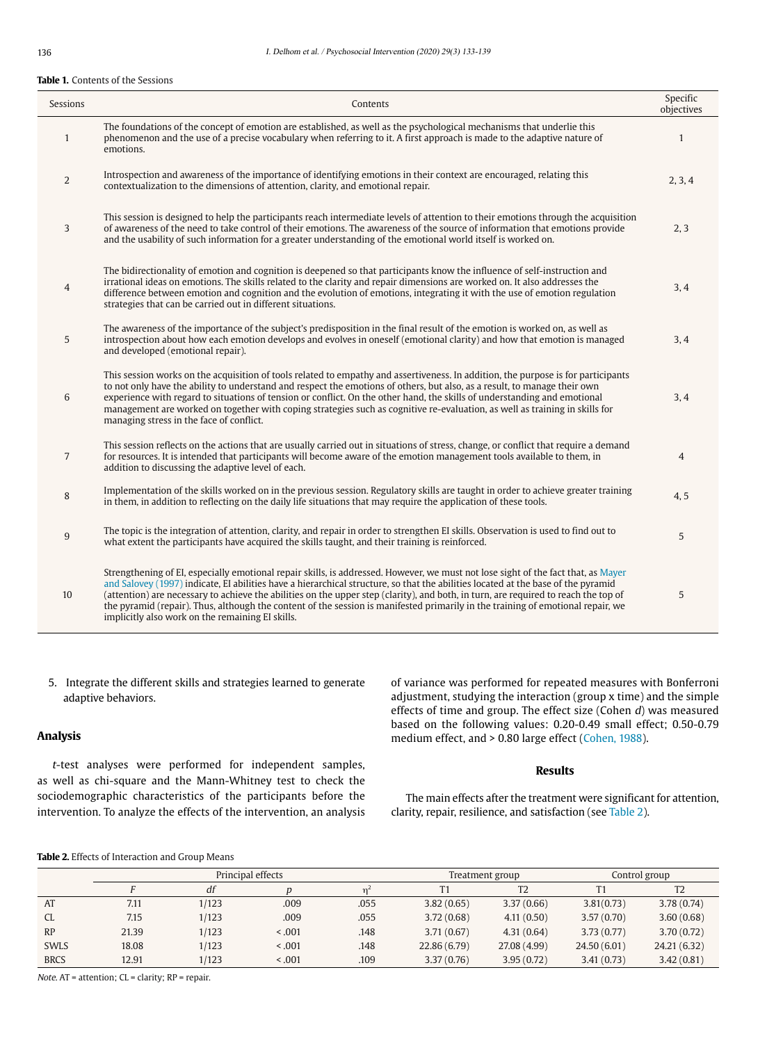#### **Table 1.** Contents of the Sessions

| Sessions         | Contents                                                                                                                                                                                                                                                                                                                                                                                                                                                                                                                                                                                             | Specific<br>objectives |
|------------------|------------------------------------------------------------------------------------------------------------------------------------------------------------------------------------------------------------------------------------------------------------------------------------------------------------------------------------------------------------------------------------------------------------------------------------------------------------------------------------------------------------------------------------------------------------------------------------------------------|------------------------|
| $\mathbf{1}$     | The foundations of the concept of emotion are established, as well as the psychological mechanisms that underlie this<br>phenomenon and the use of a precise vocabulary when referring to it. A first approach is made to the adaptive nature of<br>emotions.                                                                                                                                                                                                                                                                                                                                        | $\mathbf{1}$           |
| $\overline{2}$   | Introspection and awareness of the importance of identifying emotions in their context are encouraged, relating this<br>contextualization to the dimensions of attention, clarity, and emotional repair.                                                                                                                                                                                                                                                                                                                                                                                             | 2, 3, 4                |
| 3                | This session is designed to help the participants reach intermediate levels of attention to their emotions through the acquisition<br>of awareness of the need to take control of their emotions. The awareness of the source of information that emotions provide<br>and the usability of such information for a greater understanding of the emotional world itself is worked on.                                                                                                                                                                                                                  | 2, 3                   |
| $\overline{4}$   | The bidirectionality of emotion and cognition is deepened so that participants know the influence of self-instruction and<br>irrational ideas on emotions. The skills related to the clarity and repair dimensions are worked on. It also addresses the<br>difference between emotion and cognition and the evolution of emotions, integrating it with the use of emotion regulation<br>strategies that can be carried out in different situations.                                                                                                                                                  | 3, 4                   |
| 5                | The awareness of the importance of the subject's predisposition in the final result of the emotion is worked on, as well as<br>introspection about how each emotion develops and evolves in oneself (emotional clarity) and how that emotion is managed<br>and developed (emotional repair).                                                                                                                                                                                                                                                                                                         | 3, 4                   |
| 6                | This session works on the acquisition of tools related to empathy and assertiveness. In addition, the purpose is for participants<br>to not only have the ability to understand and respect the emotions of others, but also, as a result, to manage their own<br>experience with regard to situations of tension or conflict. On the other hand, the skills of understanding and emotional<br>management are worked on together with coping strategies such as cognitive re-evaluation, as well as training in skills for<br>managing stress in the face of conflict.                               | 3, 4                   |
| $\overline{7}$   | This session reflects on the actions that are usually carried out in situations of stress, change, or conflict that require a demand<br>for resources. It is intended that participants will become aware of the emotion management tools available to them, in<br>addition to discussing the adaptive level of each.                                                                                                                                                                                                                                                                                | 4                      |
| 8                | Implementation of the skills worked on in the previous session. Regulatory skills are taught in order to achieve greater training<br>in them, in addition to reflecting on the daily life situations that may require the application of these tools.                                                                                                                                                                                                                                                                                                                                                | 4, 5                   |
| 9                | The topic is the integration of attention, clarity, and repair in order to strengthen EI skills. Observation is used to find out to<br>what extent the participants have acquired the skills taught, and their training is reinforced.                                                                                                                                                                                                                                                                                                                                                               | 5                      |
| 10 <sup>10</sup> | Strengthening of EI, especially emotional repair skills, is addressed. However, we must not lose sight of the fact that, as Mayer<br>and Salovey (1997) indicate, El abilities have a hierarchical structure, so that the abilities located at the base of the pyramid<br>(attention) are necessary to achieve the abilities on the upper step (clarity), and both, in turn, are required to reach the top of<br>the pyramid (repair). Thus, although the content of the session is manifested primarily in the training of emotional repair, we<br>implicitly also work on the remaining EI skills. | 5                      |

5. Integrate the different skills and strategies learned to generate adaptive behaviors.

## **Analysis**

<sup>t</sup>-test analyses were performed for independent samples, as well as chi-square and the Mann-Whitney test to check the sociodemographic characteristics of the participants before the intervention. To analyze the effects of the intervention, an analysis of variance was performed for repeated measures with Bonferroni adjustment, studying the interaction (group x time) and the simple effects of time and group. The effect size (Cohen d) was measured based on the following values: 0.20-0.49 small effect; 0.50-0.79 medium effect, and > 0.80 large effect (Cohen, 1988).

## **Results**

The main effects after the treatment were significant for attention, clarity, repair, resilience, and satisfaction (see Table 2).

## **Table 2.** Effects of Interaction and Group Means

|             | Principal effects |       |         | Treatment group |              | Control group  |             |                |
|-------------|-------------------|-------|---------|-----------------|--------------|----------------|-------------|----------------|
|             |                   | df    |         |                 |              | T <sub>2</sub> |             | T <sub>2</sub> |
| AT          | 7.11              | 1/123 | .009    | .055            | 3.82(0.65)   | 3.37(0.66)     | 3.81(0.73)  | 3.78(0.74)     |
| CL.         | 7.15              | 1/123 | .009    | .055            | 3.72(0.68)   | 4.11(0.50)     | 3.57(0.70)  | 3.60(0.68)     |
| RP          | 21.39             | 1/123 | < 0.001 | .148            | 3.71(0.67)   | 4.31(0.64)     | 3.73(0.77)  | 3.70(0.72)     |
| <b>SWLS</b> | 18.08             | 1/123 | < 0.001 | .148            | 22.86 (6.79) | 27.08 (4.99)   | 24.50(6.01) | 24.21 (6.32)   |
| <b>BRCS</b> | 12.91             | 1/123 | < 0.001 | .109            | 3.37(0.76)   | 3.95(0.72)     | 3.41(0.73)  | 3.42(0.81)     |

Note. AT = attention; CL = clarity; RP = repair.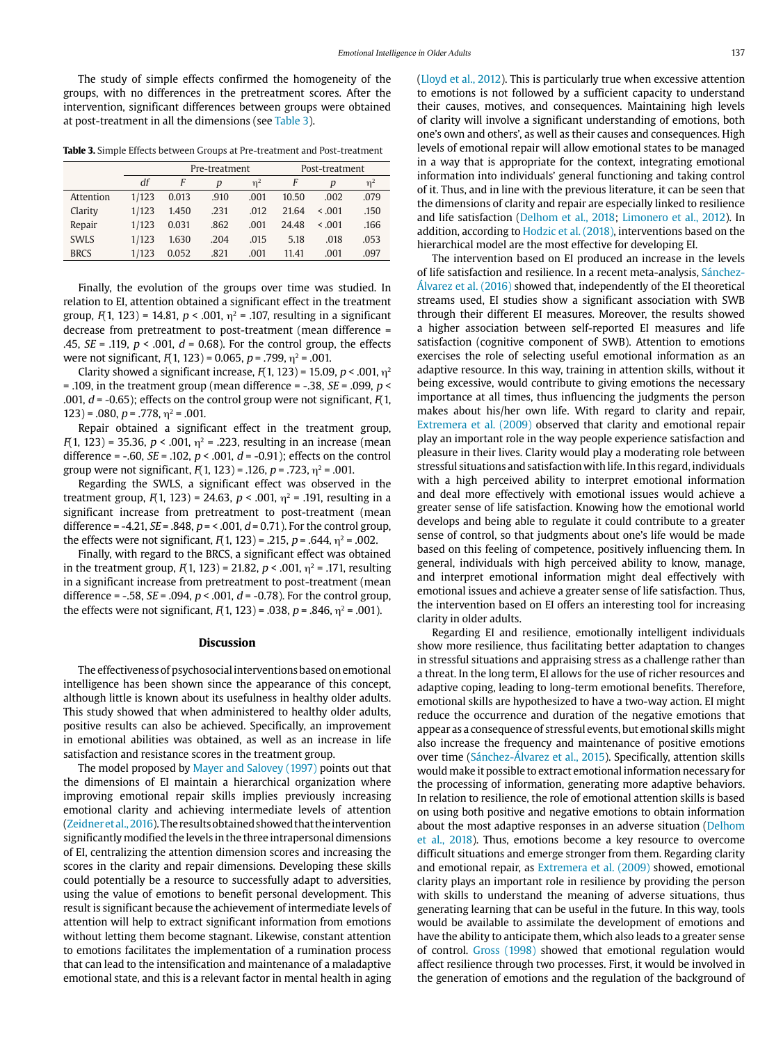The study of simple effects confirmed the homogeneity of the groups, with no differences in the pretreatment scores. After the intervention, significant differences between groups were obtained at post-treatment in all the dimensions (see Table 3).

**Table 3.** Simple Effects between Groups at Pre-treatment and Post-treatment

|             |       | Pre-treatment |      |          | Post-treatment |             |          |
|-------------|-------|---------------|------|----------|----------------|-------------|----------|
|             | df    | F             | D    | $\eta^2$ | F              | D           | $\eta^2$ |
| Attention   | 1/123 | 0.013         | .910 | .001     | 10.50          | .002        | .079     |
| Clarity     | 1/123 | 1.450         | .231 | .012     | 21.64          | $\leq 0.01$ | .150     |
| Repair      | 1/123 | 0.031         | .862 | .001     | 24.48          | $\leq 0.01$ | .166     |
| <b>SWLS</b> | 1/123 | 1.630         | .204 | .015     | 5.18           | .018        | .053     |
| <b>BRCS</b> | 1/123 | 0.052         | .821 | .001     | 11.41          | .001        | .097     |

Finally, the evolution of the groups over time was studied. In relation to EI, attention obtained a significant effect in the treatment group,  $F(1, 123) = 14.81$ ,  $p < .001$ ,  $p^2 = .107$ , resulting in a significant decrease from pretreatment to post-treatment (mean difference = .45,  $SE = .119$ ,  $p < .001$ ,  $d = 0.68$ ). For the control group, the effects were not significant,  $F(1, 123) = 0.065$ ,  $p = .799$ ,  $n^2 = .001$ .

Clarity showed a significant increase,  $F(1, 123) = 15.09$ ,  $p < .001$ ,  $p<sup>2</sup>$ = .109, in the treatment group (mean difference =  $-.38$ , *SE* = .099, *p* < .001,  $d$  = -0.65); effects on the control group were not significant,  $F(1, 1)$  $123$ ) = .080,  $p = .778$ ,  $n^2 = .001$ .

Repair obtained a significant effect in the treatment group,  $F(1, 123) = 35.36$ ,  $p < .001$ ,  $\eta^2 = .223$ , resulting in an increase (mean difference = -.60,  $SE = .102$ ,  $p < .001$ ,  $d = -0.91$ ); effects on the control group were not significant,  $F(1, 123) = .126$ ,  $p = .723$ ,  $\eta^2 = .001$ .

Regarding the SWLS, a significant effect was observed in the treatment group,  $F(1, 123) = 24.63$ ,  $p < .001$ ,  $\eta^2 = .191$ , resulting in a significant increase from pretreatment to post-treatment (mean difference = -4.21,  $SE = .848$ ,  $p = 0.71$ ,  $d = 0.71$ ). For the control group, the effects were not significant,  $F(1, 123) = .215$ ,  $p = .644$ ,  $\eta^2 = .002$ .

Finally, with regard to the BRCS, a significant effect was obtained in the treatment group,  $F(1, 123) = 21.82$ ,  $p < .001$ ,  $p^2 = .171$ , resulting in a significant increase from pretreatment to post-treatment (mean difference = -.58,  $SE = .094$ ,  $p < .001$ ,  $d = -0.78$ ). For the control group, the effects were not significant,  $F(1, 123) = .038$ ,  $p = .846$ ,  $\eta^2 = .001$ ).

#### **Discussion**

The effectiveness of psychosocial interventions based on emotional intelligence has been shown since the appearance of this concept, although little is known about its usefulness in healthy older adults. This study showed that when administered to healthy older adults, positive results can also be achieved. Specifically, an improvement in emotional abilities was obtained, as well as an increase in life satisfaction and resistance scores in the treatment group.

The model proposed by Mayer and Salovey (1997) points out that the dimensions of EI maintain a hierarchical organization where improving emotional repair skills implies previously increasing emotional clarity and achieving intermediate levels of attention (Zeidner et al., 2016). The results obtained showed that the intervention significantly modified the levels in the three intrapersonal dimensions of EI, centralizing the attention dimension scores and increasing the scores in the clarity and repair dimensions. Developing these skills could potentially be a resource to successfully adapt to adversities, using the value of emotions to benefit personal development. This result is significant because the achievement of intermediate levels of attention will help to extract significant information from emotions without letting them become stagnant. Likewise, constant attention to emotions facilitates the implementation of a rumination process that can lead to the intensification and maintenance of a maladaptive emotional state, and this is a relevant factor in mental health in aging (Lloyd et al., 2012). This is particularly true when excessive attention to emotions is not followed by a sufficient capacity to understand their causes, motives, and consequences. Maintaining high levels of clarity will involve a significant understanding of emotions, both one's own and others', as well as their causes and consequences. High levels of emotional repair will allow emotional states to be managed in a way that is appropriate for the context, integrating emotional information into individuals' general functioning and taking control of it. Thus, and in line with the previous literature, it can be seen that the dimensions of clarity and repair are especially linked to resilience and life satisfaction (Delhom et al., 2018; Limonero et al., 2012). In addition, according to Hodzic et al. (2018), interventions based on the hierarchical model are the most effective for developing EI.

The intervention based on EI produced an increase in the levels of life satisfaction and resilience. In a recent meta-analysis, Sánchez-Álvarez et al. (2016) showed that, independently of the EI theoretical streams used, EI studies show a significant association with SWB through their different EI measures. Moreover, the results showed a higher association between self-reported EI measures and life satisfaction (cognitive component of SWB). Attention to emotions exercises the role of selecting useful emotional information as an adaptive resource. In this way, training in attention skills, without it being excessive, would contribute to giving emotions the necessary importance at all times, thus influencing the judgments the person makes about his/her own life. With regard to clarity and repair, Extremera et al. (2009) observed that clarity and emotional repair play an important role in the way people experience satisfaction and pleasure in their lives. Clarity would play a moderating role between stressful situations and satisfaction with life. In this regard, individuals with a high perceived ability to interpret emotional information and deal more effectively with emotional issues would achieve a greater sense of life satisfaction. Knowing how the emotional world develops and being able to regulate it could contribute to a greater sense of control, so that judgments about one's life would be made based on this feeling of competence, positively influencing them. In general, individuals with high perceived ability to know, manage, and interpret emotional information might deal effectively with emotional issues and achieve a greater sense of life satisfaction. Thus, the intervention based on EI offers an interesting tool for increasing clarity in older adults.

Regarding EI and resilience, emotionally intelligent individuals show more resilience, thus facilitating better adaptation to changes in stressful situations and appraising stress as a challenge rather than a threat. In the long term, EI allows for the use of richer resources and adaptive coping, leading to long-term emotional benefits. Therefore, emotional skills are hypothesized to have a two-way action. EI might reduce the occurrence and duration of the negative emotions that appear as a consequence of stressful events, but emotional skills might also increase the frequency and maintenance of positive emotions over time (Sánchez-Álvarez et al., 2015). Specifically, attention skills would make it possible to extract emotional information necessary for the processing of information, generating more adaptive behaviors. In relation to resilience, the role of emotional attention skills is based on using both positive and negative emotions to obtain information about the most adaptive responses in an adverse situation (Delhom et al., 2018). Thus, emotions become a key resource to overcome difficult situations and emerge stronger from them. Regarding clarity and emotional repair, as Extremera et al. (2009) showed, emotional clarity plays an important role in resilience by providing the person with skills to understand the meaning of adverse situations, thus generating learning that can be useful in the future. In this way, tools would be available to assimilate the development of emotions and have the ability to anticipate them, which also leads to a greater sense of control. Gross (1998) showed that emotional regulation would affect resilience through two processes. First, it would be involved in the generation of emotions and the regulation of the background of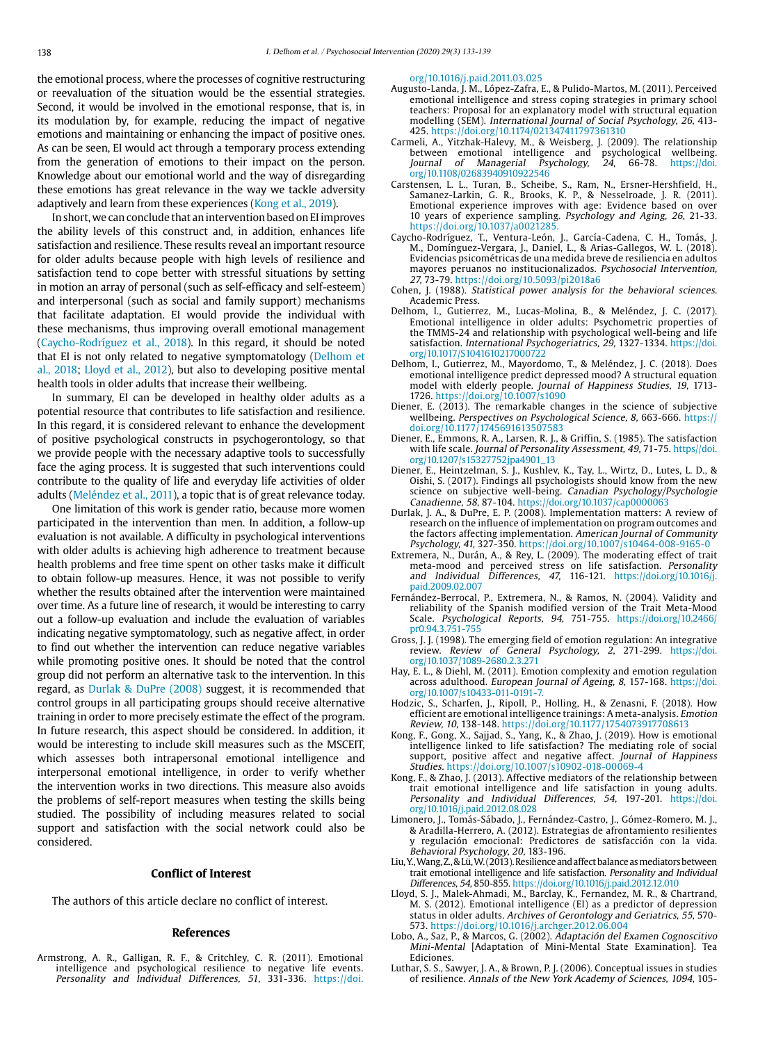the emotional process, where the processes of cognitive restructuring or reevaluation of the situation would be the essential strategies. Second, it would be involved in the emotional response, that is, in its modulation by, for example, reducing the impact of negative emotions and maintaining or enhancing the impact of positive ones. As can be seen, EI would act through a temporary process extending from the generation of emotions to their impact on the person. Knowledge about our emotional world and the way of disregarding these emotions has great relevance in the way we tackle adversity adaptively and learn from these experiences (Kong et al., 2019).

In short, we can conclude that an intervention based on EI improves the ability levels of this construct and, in addition, enhances life satisfaction and resilience. These results reveal an important resource for older adults because people with high levels of resilience and satisfaction tend to cope better with stressful situations by setting in motion an array of personal (such as self-efficacy and self-esteem) and interpersonal (such as social and family support) mechanisms that facilitate adaptation. EI would provide the individual with these mechanisms, thus improving overall emotional management (Caycho-Rodríguez et al., 2018). In this regard, it should be noted that EI is not only related to negative symptomatology (Delhom et al., 2018; Lloyd et al., 2012), but also to developing positive mental health tools in older adults that increase their wellbeing.

In summary, EI can be developed in healthy older adults as a potential resource that contributes to life satisfaction and resilience. In this regard, it is considered relevant to enhance the development of positive psychological constructs in psychogerontology, so that we provide people with the necessary adaptive tools to successfully face the aging process. It is suggested that such interventions could contribute to the quality of life and everyday life activities of older adults (Meléndez et al., 2011), a topic that is of great relevance today.

One limitation of this work is gender ratio, because more women participated in the intervention than men. In addition, a follow-up evaluation is not available. A difficulty in psychological interventions with older adults is achieving high adherence to treatment because health problems and free time spent on other tasks make it difficult to obtain follow-up measures. Hence, it was not possible to verify whether the results obtained after the intervention were maintained over time. As a future line of research, it would be interesting to carry out a follow-up evaluation and include the evaluation of variables indicating negative symptomatology, such as negative affect, in order to find out whether the intervention can reduce negative variables while promoting positive ones. It should be noted that the control group did not perform an alternative task to the intervention. In this regard, as Durlak & DuPre (2008) suggest, it is recommended that control groups in all participating groups should receive alternative training in order to more precisely estimate the effect of the program. In future research, this aspect should be considered. In addition, it would be interesting to include skill measures such as the MSCEIT, which assesses both intrapersonal emotional intelligence and interpersonal emotional intelligence, in order to verify whether the intervention works in two directions. This measure also avoids the problems of self-report measures when testing the skills being studied. The possibility of including measures related to social support and satisfaction with the social network could also be considered.

#### **Conflict of Interest**

The authors of this article declare no conflict of interest.

#### **References**

Armstrong, A. R., Galligan, R. F., & Critchley, C. R. (2011). Emotional intelligence and psychological resilience to negative life events. Personality and Individual Differences, 51, 331-336. [https://doi.](https://doi.org/10.1016/j.paid.2011.03.025)

[org/10.1016/j.paid.2011.03.025](https://doi.org/10.1016/j.paid.2011.03.025)

- Augusto-Landa, J. M., López-Zafra, E., & Pulido-Martos, M. (2011). Perceived emotional intelligence and stress coping strategies in primary school teachers: Proposal for an explanatory model with structural equation modelling (SEM). International Journal of Social Psychology, 26, 413- 425. https://doi.org/10.1174/021347411797361310
- Carmeli, A., Yitzhak-Halevy, M., & Weisberg, J. (2009). The relationship between emotional intelligence and psychological wellbeing. Journal of Managerial Psychology, 24, 66-78. [https://doi.](https://doi.org/10.1108/02683940910922546) [org/10.1108/02683940910922546](https://doi.org/10.1108/02683940910922546)
- Carstensen, L. L., Turan, B., Scheibe, S., Ram, N., Ersner-Hershfield, H., Samanez-Larkin, G. R., Brooks, K. P., & Nesselroade, J. R. (2011). Emotional experience improves with age: Evidence based on over 10 years of experience sampling. Psychology and Aging, 26, 21-33. https://doi.org/10.1037/a0021285.
- Caycho-Rodríguez, T., Ventura-León, J., García-Cadena, C. H., Tomás, J. M., Domínguez-Vergara, J., Daniel, L., & Arias-Gallegos, W. L. (2018). Evidencias psicométricas de una medida breve de resiliencia en adultos mayores peruanos no institucionalizados. Psychosocial Intervention, 27, 73-79. https://doi.org/10.5093/pi2018a6
- Cohen, J. (1988). Statistical power analysis for the behavioral sciences. Academic Press.
- Delhom, I., Gutierrez, M., Lucas-Molina, B., & Meléndez, J. C. (2017). Emotional intelligence in older adults: Psychometric properties of the TMMS-24 and relationship with psychological well-being and life satisfaction. International Psychogeriatrics, 29, 1327-1334. [https://doi.](https://doi.org/10.1017/S1041610217000722) [org/10.1017/S1041610217000722](https://doi.org/10.1017/S1041610217000722)
- Delhom, I., Gutierrez, M., Mayordomo, T., & Meléndez, J. C. (2018). Does emotional intelligence predict depressed mood? A structural equation model with elderly people. Journal of Happiness Studies, 19, 1713- 1726.<https://doi.org/10.1007/s1090>
- Diener, E. (2013). The remarkable changes in the science of subjective wellbeing. Perspectives on Psychological Science, 8, 663-666. https:// doi.org/10.1177/1745691613507583
- Diener, E., Emmons, R. A., Larsen, R. J., & Griffin, S. (1985). The satisfaction with life scale. Journal of Personality Assessment, 49, 71-75. [https//doi.](https//doi.org/10.1207/s15327752jpa4901_13) [org/10.1207/s15327752jpa4901\\_13](https//doi.org/10.1207/s15327752jpa4901_13)
- Diener, E., Heintzelman, S. J., Kushlev, K., Tay, L., Wirtz, D., Lutes, L. D., & Oishi, S. (2017). Findings all psychologists should know from the new science on subjective well-being. Canadian Psychology/Psychologie Canadienne, 58, 87-104. <https://doi.org/10.1037/cap0000063>
- Durlak, J. A., & DuPre, E. P. (2008). Implementation matters: A review of research on the influence of implementation on program outcomes and the factors affecting implementation. American Journal of Community Psychology, 41, 327-350. https://doi.org/10.1007/s10464-008-9165-0
- Extremera, N., Durán, A., & Rey, L. (2009). The moderating effect of trait meta-mood and perceived stress on life satisfaction. Personality and Individual Differences, 47, 116-121. [https://doi.org/10.1016/j.](https://doi.org/10.1016/j.paid.2009.02.007) [paid.2009.02.007](https://doi.org/10.1016/j.paid.2009.02.007)
- Fernández-Berrocal, P., Extremera, N., & Ramos, N. (2004). Validity and reliability of the Spanish modified version of the Trait Meta-Mood Scale. Psychological Reports, 94, 751-755. [https://doi.org/10.2466/](https://doi.org/10.2466/pr0.94.3.751-755) [pr0.94.3.751-755](https://doi.org/10.2466/pr0.94.3.751-755)
- Gross, J. J. (1998). The emerging field of emotion regulation: An integrative review. Review of General Psychology, 2, 271-299. [https://doi.](https://doi.org/10.1037/1089-2680.2.3.271) [org/10.1037/1089-2680.2.3.271](https://doi.org/10.1037/1089-2680.2.3.271)
- Hay, E. L., & Diehl, M. (2011). Emotion complexity and emotion regulation across adulthood. European Journal of Ageing, 8, 157-168. [https://doi.](https://doi.org/10.1007/s10433-011-0191-7) [org/10.1007/s10433-011-0191-7](https://doi.org/10.1007/s10433-011-0191-7).
- Hodzic, S., Scharfen, J., Ripoll, P., Holling, H., & Zenasni, F. (2018). How efficient are emotional intelligence trainings: A meta-analysis. Emotion Review, 10, 138-148. https://doi.org/10.1177/1754073917708613
- Kong, F., Gong, X., Sajjad, S., Yang, K., & Zhao, J. (2019). How is emotional intelligence linked to life satisfaction? The mediating role of social support, positive affect and negative affect. Journal of Happiness Studies. https://doi.org/10.1007/s10902-018-00069-4
- Kong, F., & Zhao, J. (2013). Affective mediators of the relationship between trait emotional intelligence and life satisfaction in young adults. Personality and Individual Differences, 54, 197-201. [https://doi.](https://doi.org/10.1016/j.paid.2012.08.028) [org/10.1016/j.paid.2012.08.028](https://doi.org/10.1016/j.paid.2012.08.028)
- Limonero, J., Tomás-Sábado, J., Fernández-Castro, J., Gómez-Romero, M. J., & Aradilla-Herrero, A. (2012). Estrategias de afrontamiento resilientes y regulación emocional: Predictores de satisfacción con la vida. Behavioral Psychology, 20, 183-196.
- Liu, Y., Wang, Z., & Lü, W. (2013). Resilience and affect balance as mediators between trait emotional intelligence and life satisfaction. Personality and Individual Differences, 54, 850-855.<https://doi.org/10.1016/j.paid.2012.12.010>
- Lloyd, S. J., Malek-Ahmadi, M., Barclay, K., Fernandez, M. R., & Chartrand, M. S. (2012). Emotional intelligence (EI) as a predictor of depression status in older adults. Archives of Gerontology and Geriatrics, 55, 570- 573. https://doi.org/10.1016/j.archger.2012.06.004
- Lobo, A., Saz, P., & Marcos, G. (2002). Adaptación del Examen Cognoscitivo Mini-Mental [Adaptation of Mini-Mental State Examination]. Tea **Ediciones**
- Luthar, S. S., Sawyer, J. A., & Brown, P. J. (2006). Conceptual issues in studies of resilience. Annals of the New York Academy of Sciences, 1094, 105-